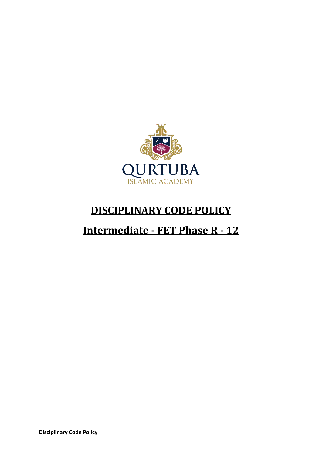

## **DISCIPLINARY CODE POLICY**

# **Intermediate - FET Phase R - 12**

**Disciplinary Code Policy**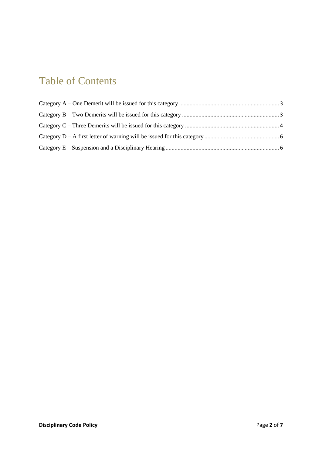## Table of Contents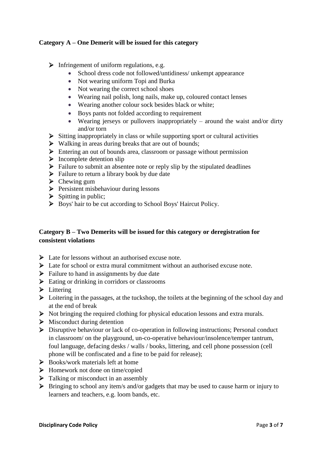#### <span id="page-2-0"></span>**Category A – One Demerit will be issued for this category**

- $\triangleright$  Infringement of uniform regulations, e.g.
	- School dress code not followed/untidiness/ unkempt appearance
	- Not wearing uniform Topi and Burka
	- Not wearing the correct school shoes
	- Wearing nail polish, long nails, make up, coloured contact lenses
	- Wearing another colour sock besides black or white;
	- Boys pants not folded according to requirement
	- Wearing jerseys or pullovers inappropriately around the waist and/or dirty and/or torn
- $\triangleright$  Sitting inappropriately in class or while supporting sport or cultural activities
- $\triangleright$  Walking in areas during breaks that are out of bounds;
- Entering an out of bounds area, classroom or passage without permission
- $\triangleright$  Incomplete detention slip
- $\triangleright$  Failure to submit an absentee note or reply slip by the stipulated deadlines
- $\triangleright$  Failure to return a library book by due date
- $\triangleright$  Chewing gum
- $\triangleright$  Persistent misbehaviour during lessons
- $\triangleright$  Spitting in public;
- Boys' hair to be cut according to School Boys' Haircut Policy.

### <span id="page-2-1"></span>**Category B – Two Demerits will be issued for this category or deregistration for consistent violations**

- $\triangleright$  Late for lessons without an authorised excuse note.
- $\triangleright$  Late for school or extra mural commitment without an authorised excuse note.
- $\triangleright$  Failure to hand in assignments by due date
- $\triangleright$  Eating or drinking in corridors or classrooms
- $\blacktriangleright$  Littering
- $\triangleright$  Loitering in the passages, at the tuckshop, the toilets at the beginning of the school day and at the end of break
- $\triangleright$  Not bringing the required clothing for physical education lessons and extra murals.
- $\triangleright$  Misconduct during detention
- Disruptive behaviour or lack of co-operation in following instructions; Personal conduct in classroom/ on the playground, un-co-operative behaviour/insolence/temper tantrum, foul language, defacing desks / walls / books, littering, and cell phone possession (cell phone will be confiscated and a fine to be paid for release);
- $\triangleright$  Books/work materials left at home
- > Homework not done on time/copied
- $\triangleright$  Talking or misconduct in an assembly
- $\triangleright$  Bringing to school any item/s and/or gadgets that may be used to cause harm or injury to learners and teachers, e.g. loom bands, etc.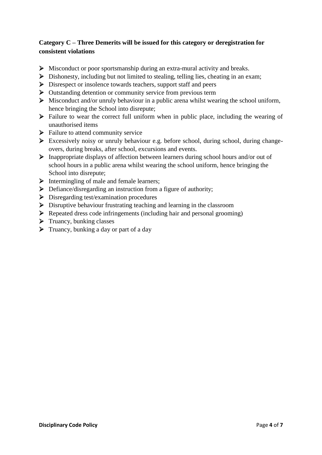## <span id="page-3-0"></span>**Category C – Three Demerits will be issued for this category or deregistration for consistent violations**

- $\triangleright$  Misconduct or poor sportsmanship during an extra-mural activity and breaks.
- $\triangleright$  Dishonesty, including but not limited to stealing, telling lies, cheating in an exam;
- $\triangleright$  Disrespect or insolence towards teachers, support staff and peers
- $\triangleright$  Outstanding detention or community service from previous term
- $\triangleright$  Misconduct and/or unruly behaviour in a public arena whilst wearing the school uniform, hence bringing the School into disrepute;
- $\triangleright$  Failure to wear the correct full uniform when in public place, including the wearing of unauthorised items
- $\triangleright$  Failure to attend community service
- Excessively noisy or unruly behaviour e.g. before school, during school, during changeovers, during breaks, after school, excursions and events.
- $\triangleright$  Inappropriate displays of affection between learners during school hours and/or out of school hours in a public arena whilst wearing the school uniform, hence bringing the School into disrepute;
- $\triangleright$  Intermingling of male and female learners;
- $\triangleright$  Defiance/disregarding an instruction from a figure of authority;
- Disregarding test/examination procedures
- $\triangleright$  Disruptive behaviour frustrating teaching and learning in the classroom
- $\triangleright$  Repeated dress code infringements (including hair and personal grooming)
- $\triangleright$  Truancy, bunking classes
- $\triangleright$  Truancy, bunking a day or part of a day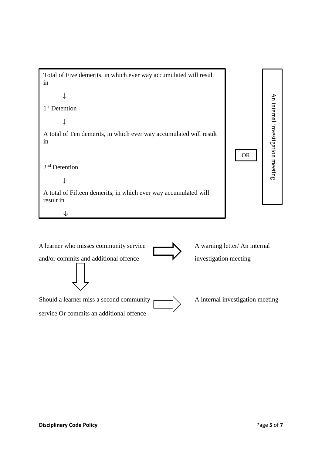

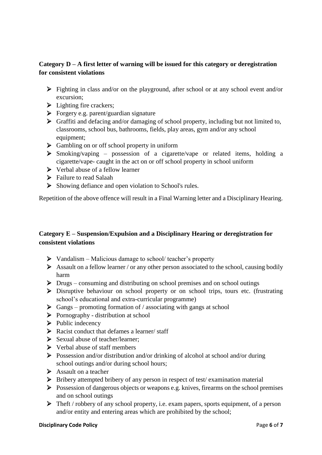## <span id="page-5-0"></span>**Category D – A first letter of warning will be issued for this category or deregistration for consistent violations**

- $\triangleright$  Fighting in class and/or on the playground, after school or at any school event and/or excursion;
- $\blacktriangleright$  Lighting fire crackers;
- $\triangleright$  Forgery e.g. parent/guardian signature
- $\triangleright$  Graffiti and defacing and/or damaging of school property, including but not limited to, classrooms, school bus, bathrooms, fields, play areas, gym and/or any school equipment;
- $\triangleright$  Gambling on or off school property in uniform
- $\triangleright$  Smoking/vaping possession of a cigarette/vape or related items, holding a cigarette/vape- caught in the act on or off school property in school uniform
- $\triangleright$  Verbal abuse of a fellow learner
- $\triangleright$  Failure to read Salaah
- $\triangleright$  Showing defiance and open violation to School's rules.

Repetition of the above offence will result in a Final Warning letter and a Disciplinary Hearing.

## <span id="page-5-1"></span>**Category E – Suspension/Expulsion and a Disciplinary Hearing or deregistration for consistent violations**

- $\triangleright$  Vandalism Malicious damage to school/ teacher's property
- $\triangleright$  Assault on a fellow learner / or any other person associated to the school, causing bodily harm
- Drugs consuming and distributing on school premises and on school outings
- Disruptive behaviour on school property or on school trips, tours etc. (frustrating school's educational and extra-curricular programme)
- $\triangleright$  Gangs promoting formation of / associating with gangs at school
- $\triangleright$  Pornography distribution at school
- $\triangleright$  Public indecency
- $\triangleright$  Racist conduct that defames a learner/ staff
- $\triangleright$  Sexual abuse of teacher/learner:
- $\triangleright$  Verbal abuse of staff members
- Possession and/or distribution and/or drinking of alcohol at school and/or during school outings and/or during school hours;
- $\triangleright$  Assault on a teacher
- $\triangleright$  Bribery attempted bribery of any person in respect of test/ examination material
- $\triangleright$  Possession of dangerous objects or weapons e.g. knives, firearms on the school premises and on school outings
- $\triangleright$  Theft / robbery of any school property, i.e. exam papers, sports equipment, of a person and/or entity and entering areas which are prohibited by the school;

#### **Disciplinary Code Policy** Page **6** of **7**